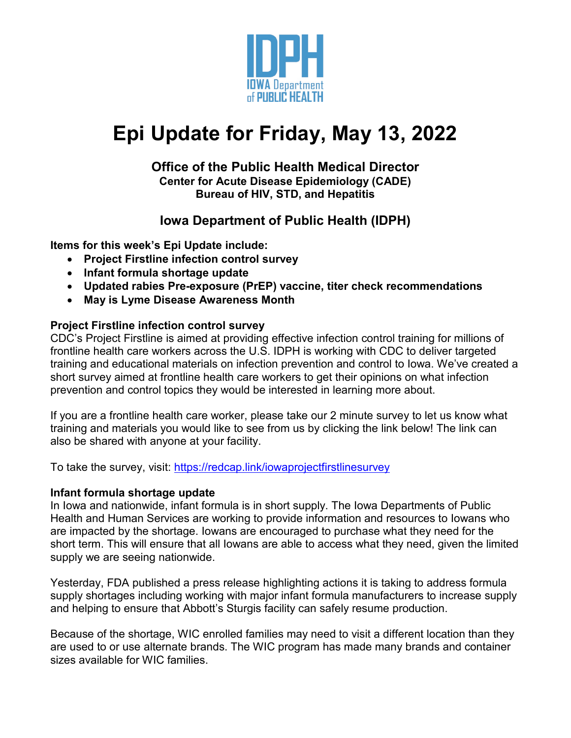

# **Epi Update for Friday, May 13, 2022**

# **Office of the Public Health Medical Director Center for Acute Disease Epidemiology (CADE) Bureau of HIV, STD, and Hepatitis**

# **Iowa Department of Public Health (IDPH)**

**Items for this week's Epi Update include:**

- **Project Firstline infection control survey**
- **Infant formula shortage update**
- **Updated rabies Pre-exposure (PrEP) vaccine, titer check recommendations**
- **May is Lyme Disease Awareness Month**

# **Project Firstline infection control survey**

CDC's Project Firstline is aimed at providing effective infection control training for millions of frontline health care workers across the U.S. IDPH is working with CDC to deliver targeted training and educational materials on infection prevention and control to Iowa. We've created a short survey aimed at frontline health care workers to get their opinions on what infection prevention and control topics they would be interested in learning more about.

If you are a frontline health care worker, please take our 2 minute survey to let us know what training and materials you would like to see from us by clicking the link below! The link can also be shared with anyone at your facility.

To take the survey, visit:<https://redcap.link/iowaprojectfirstlinesurvey>

#### **Infant formula shortage update**

In Iowa and nationwide, infant formula is in short supply. The Iowa Departments of Public Health and Human Services are working to provide information and resources to Iowans who are impacted by the shortage. Iowans are encouraged to purchase what they need for the short term. This will ensure that all Iowans are able to access what they need, given the limited supply we are seeing nationwide.

Yesterday, FDA published a press release highlighting actions it is taking to address formula supply shortages including working with major infant formula manufacturers to increase supply and helping to ensure that Abbott's Sturgis facility can safely resume production.

Because of the shortage, WIC enrolled families may need to visit a different location than they are used to or use alternate brands. The WIC program has made many brands and container sizes available for WIC families.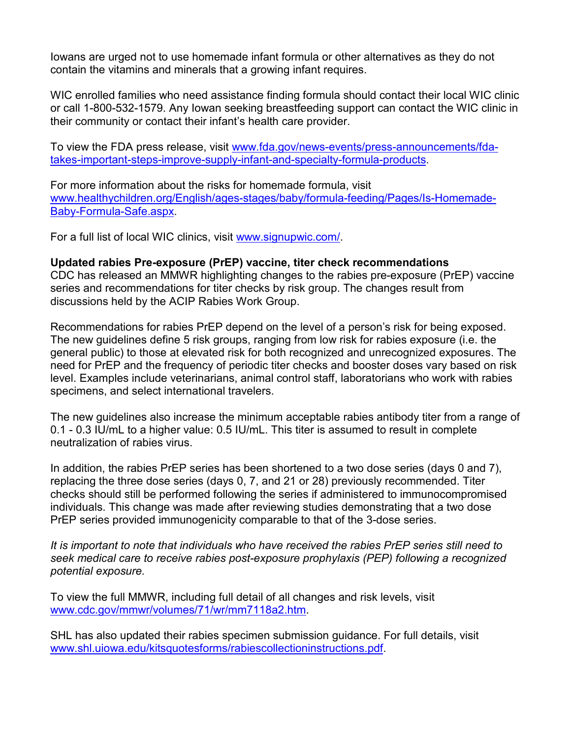Iowans are urged not to use homemade infant formula or other alternatives as they do not contain the vitamins and minerals that a growing infant requires.

WIC enrolled families who need assistance finding formula should contact their local WIC clinic or call 1-800-532-1579. Any Iowan seeking breastfeeding support can contact the WIC clinic in their community or contact their infant's health care provider.

To view the FDA press release, visit [www.fda.gov/news-events/press-announcements/fda](http://www.fda.gov/news-events/press-announcements/fda-takes-important-steps-improve-supply-infant-and-specialty-formula-products)[takes-important-steps-improve-supply-infant-and-specialty-formula-products.](http://www.fda.gov/news-events/press-announcements/fda-takes-important-steps-improve-supply-infant-and-specialty-formula-products)

For more information about the risks for homemade formula, visit [www.healthychildren.org/English/ages-stages/baby/formula-feeding/Pages/Is-Homemade-](http://www.healthychildren.org/English/ages-stages/baby/formula-feeding/Pages/Is-Homemade-Baby-Formula-Safe.aspx)[Baby-Formula-Safe.aspx.](http://www.healthychildren.org/English/ages-stages/baby/formula-feeding/Pages/Is-Homemade-Baby-Formula-Safe.aspx)

For a full list of local WIC clinics, visit [www.signupwic.com/.](http://www.signupwic.com/)

# **Updated rabies Pre-exposure (PrEP) vaccine, titer check recommendations**

CDC has released an MMWR highlighting changes to the rabies pre-exposure (PrEP) vaccine series and recommendations for titer checks by risk group. The changes result from discussions held by the ACIP Rabies Work Group.

Recommendations for rabies PrEP depend on the level of a person's risk for being exposed. The new guidelines define 5 risk groups, ranging from low risk for rabies exposure (i.e. the general public) to those at elevated risk for both recognized and unrecognized exposures. The need for PrEP and the frequency of periodic titer checks and booster doses vary based on risk level. Examples include veterinarians, animal control staff, laboratorians who work with rabies specimens, and select international travelers.

The new guidelines also increase the minimum acceptable rabies antibody titer from a range of 0.1 - 0.3 IU/mL to a higher value: 0.5 IU/mL. This titer is assumed to result in complete neutralization of rabies virus.

In addition, the rabies PrEP series has been shortened to a two dose series (days 0 and 7), replacing the three dose series (days 0, 7, and 21 or 28) previously recommended. Titer checks should still be performed following the series if administered to immunocompromised individuals. This change was made after reviewing studies demonstrating that a two dose PrEP series provided immunogenicity comparable to that of the 3-dose series.

*It is important to note that individuals who have received the rabies PrEP series still need to seek medical care to receive rabies post-exposure prophylaxis (PEP) following a recognized potential exposure.* 

To view the full MMWR, including full detail of all changes and risk levels, visit [www.cdc.gov/mmwr/volumes/71/wr/mm7118a2.htm.](http://www.cdc.gov/mmwr/volumes/71/wr/mm7118a2.htm)

SHL has also updated their rabies specimen submission guidance. For full details, visit [www.shl.uiowa.edu/kitsquotesforms/rabiescollectioninstructions.pdf.](http://www.shl.uiowa.edu/kitsquotesforms/rabiescollectioninstructions.pdf)